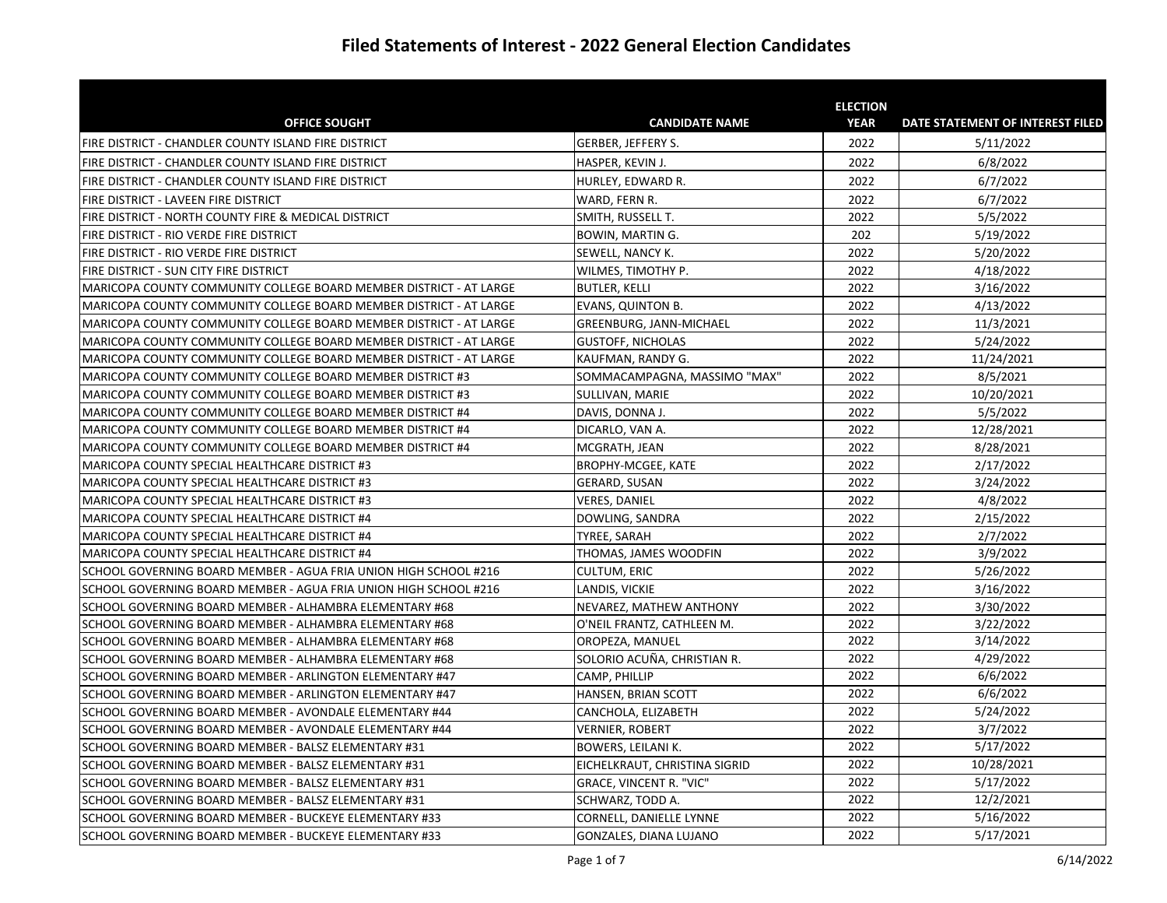|                                                                    |                                | <b>ELECTION</b> |                                  |
|--------------------------------------------------------------------|--------------------------------|-----------------|----------------------------------|
| <b>OFFICE SOUGHT</b>                                               | <b>CANDIDATE NAME</b>          | <b>YEAR</b>     | DATE STATEMENT OF INTEREST FILED |
| FIRE DISTRICT - CHANDLER COUNTY ISLAND FIRE DISTRICT               | GERBER, JEFFERY S.             | 2022            | 5/11/2022                        |
| FIRE DISTRICT - CHANDLER COUNTY ISLAND FIRE DISTRICT               | HASPER, KEVIN J.               | 2022            | 6/8/2022                         |
| FIRE DISTRICT - CHANDLER COUNTY ISLAND FIRE DISTRICT               | HURLEY, EDWARD R.              | 2022            | 6/7/2022                         |
| FIRE DISTRICT - LAVEEN FIRE DISTRICT                               | WARD, FERN R.                  | 2022            | 6/7/2022                         |
| FIRE DISTRICT - NORTH COUNTY FIRE & MEDICAL DISTRICT               | SMITH, RUSSELL T.              | 2022            | 5/5/2022                         |
| FIRE DISTRICT - RIO VERDE FIRE DISTRICT                            | BOWIN, MARTIN G.               | 202             | 5/19/2022                        |
| FIRE DISTRICT - RIO VERDE FIRE DISTRICT                            | <b>SEWELL, NANCY K.</b>        | 2022            | 5/20/2022                        |
| FIRE DISTRICT - SUN CITY FIRE DISTRICT                             | WILMES, TIMOTHY P.             | 2022            | 4/18/2022                        |
| MARICOPA COUNTY COMMUNITY COLLEGE BOARD MEMBER DISTRICT - AT LARGE | <b>BUTLER, KELLI</b>           | 2022            | 3/16/2022                        |
| MARICOPA COUNTY COMMUNITY COLLEGE BOARD MEMBER DISTRICT - AT LARGE | <b>EVANS, QUINTON B.</b>       | 2022            | 4/13/2022                        |
| MARICOPA COUNTY COMMUNITY COLLEGE BOARD MEMBER DISTRICT - AT LARGE | GREENBURG, JANN-MICHAEL        | 2022            | 11/3/2021                        |
| MARICOPA COUNTY COMMUNITY COLLEGE BOARD MEMBER DISTRICT - AT LARGE | <b>GUSTOFF, NICHOLAS</b>       | 2022            | 5/24/2022                        |
| MARICOPA COUNTY COMMUNITY COLLEGE BOARD MEMBER DISTRICT - AT LARGE | KAUFMAN, RANDY G.              | 2022            | 11/24/2021                       |
| MARICOPA COUNTY COMMUNITY COLLEGE BOARD MEMBER DISTRICT #3         | SOMMACAMPAGNA, MASSIMO "MAX"   | 2022            | 8/5/2021                         |
| MARICOPA COUNTY COMMUNITY COLLEGE BOARD MEMBER DISTRICT #3         | SULLIVAN, MARIE                | 2022            | 10/20/2021                       |
| MARICOPA COUNTY COMMUNITY COLLEGE BOARD MEMBER DISTRICT #4         | DAVIS, DONNA J.                | 2022            | 5/5/2022                         |
| MARICOPA COUNTY COMMUNITY COLLEGE BOARD MEMBER DISTRICT #4         | DICARLO, VAN A.                | 2022            | 12/28/2021                       |
| MARICOPA COUNTY COMMUNITY COLLEGE BOARD MEMBER DISTRICT #4         | MCGRATH, JEAN                  | 2022            | 8/28/2021                        |
| MARICOPA COUNTY SPECIAL HEALTHCARE DISTRICT #3                     | BROPHY-MCGEE, KATE             | 2022            | 2/17/2022                        |
| MARICOPA COUNTY SPECIAL HEALTHCARE DISTRICT #3                     | <b>GERARD, SUSAN</b>           | 2022            | 3/24/2022                        |
| MARICOPA COUNTY SPECIAL HEALTHCARE DISTRICT #3                     | <b>VERES, DANIEL</b>           | 2022            | 4/8/2022                         |
| MARICOPA COUNTY SPECIAL HEALTHCARE DISTRICT #4                     | DOWLING, SANDRA                | 2022            | 2/15/2022                        |
| MARICOPA COUNTY SPECIAL HEALTHCARE DISTRICT #4                     | TYREE, SARAH                   | 2022            | 2/7/2022                         |
| MARICOPA COUNTY SPECIAL HEALTHCARE DISTRICT #4                     | THOMAS, JAMES WOODFIN          | 2022            | 3/9/2022                         |
| SCHOOL GOVERNING BOARD MEMBER - AGUA FRIA UNION HIGH SCHOOL #216   | <b>CULTUM, ERIC</b>            | 2022            | 5/26/2022                        |
| SCHOOL GOVERNING BOARD MEMBER - AGUA FRIA UNION HIGH SCHOOL #216   | LANDIS, VICKIE                 | 2022            | 3/16/2022                        |
| SCHOOL GOVERNING BOARD MEMBER - ALHAMBRA ELEMENTARY #68            | INEVAREZ. MATHEW ANTHONY       | 2022            | 3/30/2022                        |
| SCHOOL GOVERNING BOARD MEMBER - ALHAMBRA ELEMENTARY #68            | O'NEIL FRANTZ, CATHLEEN M.     | 2022            | 3/22/2022                        |
| SCHOOL GOVERNING BOARD MEMBER - ALHAMBRA ELEMENTARY #68            | OROPEZA, MANUEL                | 2022            | 3/14/2022                        |
| SCHOOL GOVERNING BOARD MEMBER - ALHAMBRA ELEMENTARY #68            | SOLORIO ACUÑA, CHRISTIAN R.    | 2022            | 4/29/2022                        |
| SCHOOL GOVERNING BOARD MEMBER - ARLINGTON ELEMENTARY #47           | <b>CAMP, PHILLIP</b>           | 2022            | 6/6/2022                         |
| SCHOOL GOVERNING BOARD MEMBER - ARLINGTON ELEMENTARY #47           | HANSEN, BRIAN SCOTT            | 2022            | 6/6/2022                         |
| SCHOOL GOVERNING BOARD MEMBER - AVONDALE ELEMENTARY #44            | CANCHOLA, ELIZABETH            | 2022            | 5/24/2022                        |
| SCHOOL GOVERNING BOARD MEMBER - AVONDALE ELEMENTARY #44            | <b>VERNIER, ROBERT</b>         | 2022            | 3/7/2022                         |
| SCHOOL GOVERNING BOARD MEMBER - BALSZ ELEMENTARY #31               | <b>BOWERS, LEILANI K.</b>      | 2022            | 5/17/2022                        |
| SCHOOL GOVERNING BOARD MEMBER - BALSZ ELEMENTARY #31               | EICHELKRAUT, CHRISTINA SIGRID  | 2022            | 10/28/2021                       |
| SCHOOL GOVERNING BOARD MEMBER - BALSZ ELEMENTARY #31               | <b>GRACE, VINCENT R. "VIC"</b> | 2022            | 5/17/2022                        |
| SCHOOL GOVERNING BOARD MEMBER - BALSZ ELEMENTARY #31               | SCHWARZ, TODD A.               | 2022            | 12/2/2021                        |
| SCHOOL GOVERNING BOARD MEMBER - BUCKEYE ELEMENTARY #33             | CORNELL, DANIELLE LYNNE        | 2022            | 5/16/2022                        |
| SCHOOL GOVERNING BOARD MEMBER - BUCKEYE ELEMENTARY #33             | GONZALES, DIANA LUJANO         | 2022            | 5/17/2021                        |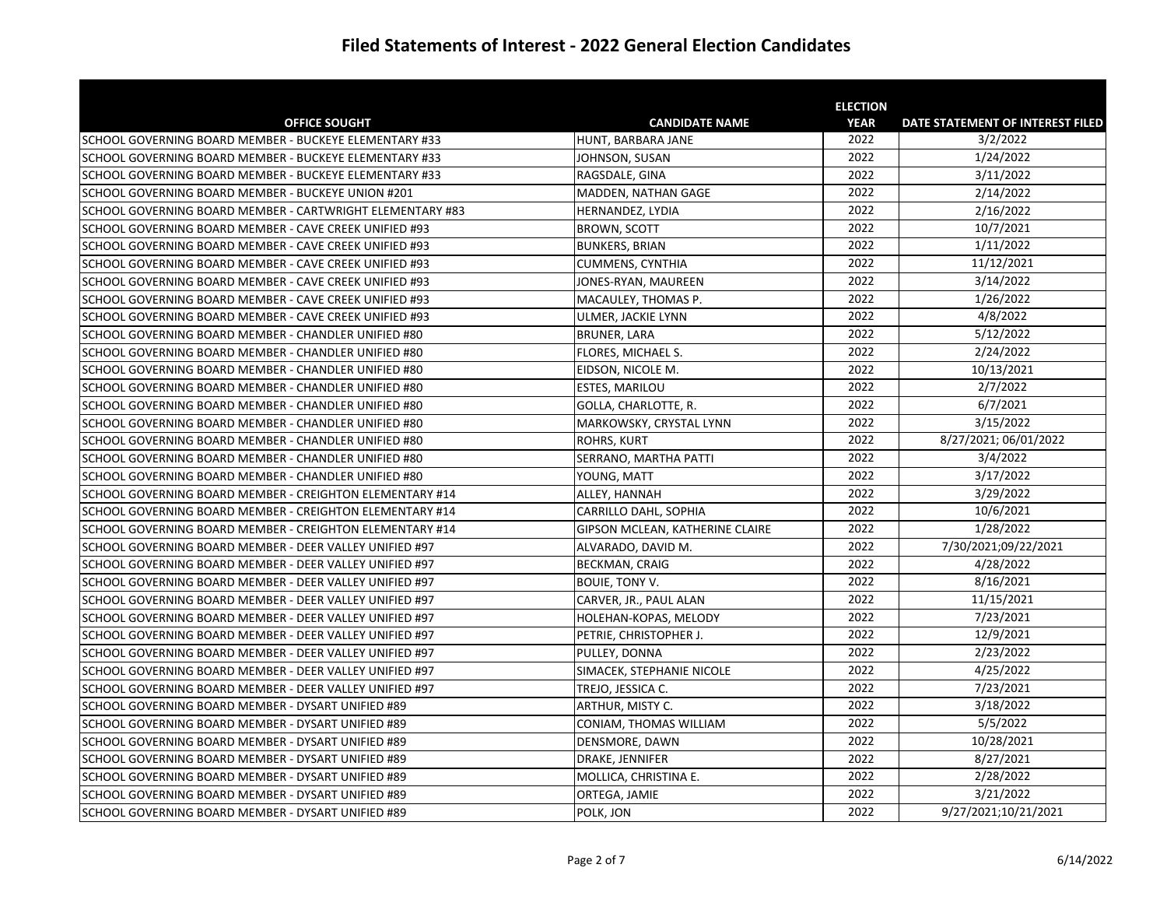|                                                           |                                 | <b>ELECTION</b> |                                  |
|-----------------------------------------------------------|---------------------------------|-----------------|----------------------------------|
| <b>OFFICE SOUGHT</b>                                      | <b>CANDIDATE NAME</b>           | <b>YEAR</b>     | DATE STATEMENT OF INTEREST FILED |
| SCHOOL GOVERNING BOARD MEMBER - BUCKEYE ELEMENTARY #33    | HUNT, BARBARA JANE              | 2022            | 3/2/2022                         |
| SCHOOL GOVERNING BOARD MEMBER - BUCKEYE ELEMENTARY #33    | JOHNSON, SUSAN                  | 2022            | 1/24/2022                        |
| SCHOOL GOVERNING BOARD MEMBER - BUCKEYE ELEMENTARY #33    | RAGSDALE, GINA                  | 2022            | 3/11/2022                        |
| SCHOOL GOVERNING BOARD MEMBER - BUCKEYE UNION #201        | MADDEN, NATHAN GAGE             | 2022            | 2/14/2022                        |
| SCHOOL GOVERNING BOARD MEMBER - CARTWRIGHT ELEMENTARY #83 | HERNANDEZ, LYDIA                | 2022            | 2/16/2022                        |
| SCHOOL GOVERNING BOARD MEMBER - CAVE CREEK UNIFIED #93    | <b>BROWN, SCOTT</b>             | 2022            | 10/7/2021                        |
| SCHOOL GOVERNING BOARD MEMBER - CAVE CREEK UNIFIED #93    | <b>BUNKERS, BRIAN</b>           | 2022            | 1/11/2022                        |
| SCHOOL GOVERNING BOARD MEMBER - CAVE CREEK UNIFIED #93    | CUMMENS, CYNTHIA                | 2022            | 11/12/2021                       |
| SCHOOL GOVERNING BOARD MEMBER - CAVE CREEK UNIFIED #93    | JONES-RYAN, MAUREEN             | 2022            | 3/14/2022                        |
| SCHOOL GOVERNING BOARD MEMBER - CAVE CREEK UNIFIED #93    | MACAULEY, THOMAS P.             | 2022            | 1/26/2022                        |
| SCHOOL GOVERNING BOARD MEMBER - CAVE CREEK UNIFIED #93    | ULMER, JACKIE LYNN              | 2022            | 4/8/2022                         |
| SCHOOL GOVERNING BOARD MEMBER - CHANDLER UNIFIED #80      | <b>BRUNER, LARA</b>             | 2022            | 5/12/2022                        |
| SCHOOL GOVERNING BOARD MEMBER - CHANDLER UNIFIED #80      | FLORES, MICHAEL S.              | 2022            | 2/24/2022                        |
| SCHOOL GOVERNING BOARD MEMBER - CHANDLER UNIFIED #80      | EIDSON, NICOLE M.               | 2022            | 10/13/2021                       |
| SCHOOL GOVERNING BOARD MEMBER - CHANDLER UNIFIED #80      | ESTES, MARILOU                  | 2022            | 2/7/2022                         |
| SCHOOL GOVERNING BOARD MEMBER - CHANDLER UNIFIED #80      | GOLLA, CHARLOTTE, R.            | 2022            | 6/7/2021                         |
| SCHOOL GOVERNING BOARD MEMBER - CHANDLER UNIFIED #80      | MARKOWSKY, CRYSTAL LYNN         | 2022            | 3/15/2022                        |
| SCHOOL GOVERNING BOARD MEMBER - CHANDLER UNIFIED #80      | ROHRS, KURT                     | 2022            | 8/27/2021; 06/01/2022            |
| SCHOOL GOVERNING BOARD MEMBER - CHANDLER UNIFIED #80      | SERRANO, MARTHA PATTI           | 2022            | 3/4/2022                         |
| SCHOOL GOVERNING BOARD MEMBER - CHANDLER UNIFIED #80      | YOUNG, MATT                     | 2022            | 3/17/2022                        |
| SCHOOL GOVERNING BOARD MEMBER - CREIGHTON ELEMENTARY #14  | ALLEY, HANNAH                   | 2022            | 3/29/2022                        |
| SCHOOL GOVERNING BOARD MEMBER - CREIGHTON ELEMENTARY #14  | CARRILLO DAHL, SOPHIA           | 2022            | 10/6/2021                        |
| SCHOOL GOVERNING BOARD MEMBER - CREIGHTON ELEMENTARY #14  | GIPSON MCLEAN, KATHERINE CLAIRE | 2022            | 1/28/2022                        |
| SCHOOL GOVERNING BOARD MEMBER - DEER VALLEY UNIFIED #97   | ALVARADO. DAVID M.              | 2022            | 7/30/2021;09/22/2021             |
| SCHOOL GOVERNING BOARD MEMBER - DEER VALLEY UNIFIED #97   | <b>BECKMAN, CRAIG</b>           | 2022            | $\frac{4}{28}$ /2022             |
| SCHOOL GOVERNING BOARD MEMBER - DEER VALLEY UNIFIED #97   | <b>BOUIE, TONY V.</b>           | 2022            | 8/16/2021                        |
| SCHOOL GOVERNING BOARD MEMBER - DEER VALLEY UNIFIED #97   | CARVER, JR., PAUL ALAN          | 2022            | 11/15/2021                       |
| SCHOOL GOVERNING BOARD MEMBER - DEER VALLEY UNIFIED #97   | HOLEHAN-KOPAS, MELODY           | 2022            | 7/23/2021                        |
| SCHOOL GOVERNING BOARD MEMBER - DEER VALLEY UNIFIED #97   | PETRIE, CHRISTOPHER J.          | 2022            | 12/9/2021                        |
| SCHOOL GOVERNING BOARD MEMBER - DEER VALLEY UNIFIED #97   | PULLEY, DONNA                   | 2022            | 2/23/2022                        |
| SCHOOL GOVERNING BOARD MEMBER - DEER VALLEY UNIFIED #97   | SIMACEK, STEPHANIE NICOLE       | 2022            | 4/25/2022                        |
| SCHOOL GOVERNING BOARD MEMBER - DEER VALLEY UNIFIED #97   | TREJO, JESSICA C.               | 2022            | 7/23/2021                        |
| SCHOOL GOVERNING BOARD MEMBER - DYSART UNIFIED #89        | ARTHUR, MISTY C.                | 2022            | 3/18/2022                        |
| SCHOOL GOVERNING BOARD MEMBER - DYSART UNIFIED #89        | CONIAM, THOMAS WILLIAM          | 2022            | 5/5/2022                         |
| SCHOOL GOVERNING BOARD MEMBER - DYSART UNIFIED #89        | DENSMORE, DAWN                  | 2022            | 10/28/2021                       |
| SCHOOL GOVERNING BOARD MEMBER - DYSART UNIFIED #89        | DRAKE, JENNIFER                 | 2022            | 8/27/2021                        |
| SCHOOL GOVERNING BOARD MEMBER - DYSART UNIFIED #89        | MOLLICA, CHRISTINA E.           | 2022            | 2/28/2022                        |
| SCHOOL GOVERNING BOARD MEMBER - DYSART UNIFIED #89        | ORTEGA, JAMIE                   | 2022            | 3/21/2022                        |
| SCHOOL GOVERNING BOARD MEMBER - DYSART UNIFIED #89        | POLK, JON                       | 2022            | 9/27/2021;10/21/2021             |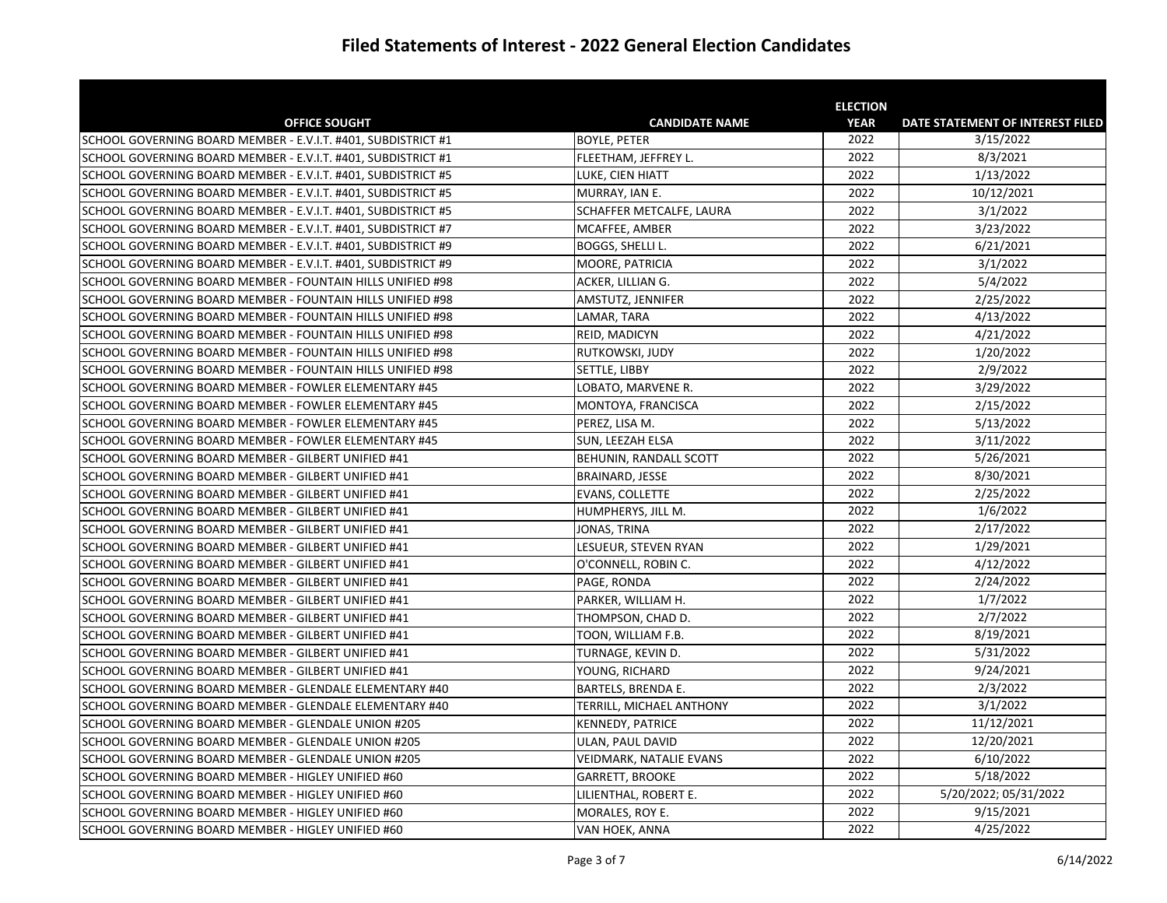|                                                               |                           | <b>ELECTION</b> |                                  |
|---------------------------------------------------------------|---------------------------|-----------------|----------------------------------|
| <b>OFFICE SOUGHT</b>                                          | <b>CANDIDATE NAME</b>     | <b>YEAR</b>     | DATE STATEMENT OF INTEREST FILED |
| SCHOOL GOVERNING BOARD MEMBER - E.V.I.T. #401, SUBDISTRICT #1 | <b>BOYLE, PETER</b>       | 2022            | 3/15/2022                        |
| SCHOOL GOVERNING BOARD MEMBER - E.V.I.T. #401, SUBDISTRICT #1 | FLEETHAM, JEFFREY L.      | 2022            | 8/3/2021                         |
| SCHOOL GOVERNING BOARD MEMBER - E.V.I.T. #401, SUBDISTRICT #5 | LUKE, CIEN HIATT          | 2022            | 1/13/2022                        |
| SCHOOL GOVERNING BOARD MEMBER - E.V.I.T. #401, SUBDISTRICT #5 | MURRAY, IAN E.            | 2022            | 10/12/2021                       |
| SCHOOL GOVERNING BOARD MEMBER - E.V.I.T. #401, SUBDISTRICT #5 | SCHAFFER METCALFE, LAURA  | 2022            | 3/1/2022                         |
| SCHOOL GOVERNING BOARD MEMBER - E.V.I.T. #401, SUBDISTRICT #7 | MCAFFEE, AMBER            | 2022            | 3/23/2022                        |
| SCHOOL GOVERNING BOARD MEMBER - E.V.I.T. #401, SUBDISTRICT #9 | BOGGS, SHELLI L.          | 2022            | 6/21/2021                        |
| SCHOOL GOVERNING BOARD MEMBER - E.V.I.T. #401, SUBDISTRICT #9 | MOORE, PATRICIA           | 2022            | 3/1/2022                         |
| SCHOOL GOVERNING BOARD MEMBER - FOUNTAIN HILLS UNIFIED #98    | ACKER, LILLIAN G.         | 2022            | 5/4/2022                         |
| SCHOOL GOVERNING BOARD MEMBER - FOUNTAIN HILLS UNIFIED #98    | AMSTUTZ, JENNIFER         | 2022            | 2/25/2022                        |
| SCHOOL GOVERNING BOARD MEMBER - FOUNTAIN HILLS UNIFIED #98    | LAMAR, TARA               | 2022            | 4/13/2022                        |
| SCHOOL GOVERNING BOARD MEMBER - FOUNTAIN HILLS UNIFIED #98    | REID, MADICYN             | 2022            | 4/21/2022                        |
| SCHOOL GOVERNING BOARD MEMBER - FOUNTAIN HILLS UNIFIED #98    | RUTKOWSKI, JUDY           | 2022            | 1/20/2022                        |
| SCHOOL GOVERNING BOARD MEMBER - FOUNTAIN HILLS UNIFIED #98    | SETTLE, LIBBY             | 2022            | 2/9/2022                         |
| SCHOOL GOVERNING BOARD MEMBER - FOWLER ELEMENTARY #45         | LOBATO, MARVENE R.        | 2022            | 3/29/2022                        |
| SCHOOL GOVERNING BOARD MEMBER - FOWLER ELEMENTARY #45         | MONTOYA, FRANCISCA        | 2022            | 2/15/2022                        |
| SCHOOL GOVERNING BOARD MEMBER - FOWLER ELEMENTARY #45         | PEREZ, LISA M.            | 2022            | 5/13/2022                        |
| SCHOOL GOVERNING BOARD MEMBER - FOWLER ELEMENTARY #45         | SUN, LEEZAH ELSA          | 2022            | 3/11/2022                        |
| SCHOOL GOVERNING BOARD MEMBER - GILBERT UNIFIED #41           | BEHUNIN, RANDALL SCOTT    | 2022            | 5/26/2021                        |
| SCHOOL GOVERNING BOARD MEMBER - GILBERT UNIFIED #41           | BRAINARD, JESSE           | 2022            | 8/30/2021                        |
| SCHOOL GOVERNING BOARD MEMBER - GILBERT UNIFIED #41           | EVANS, COLLETTE           | 2022            | 2/25/2022                        |
| SCHOOL GOVERNING BOARD MEMBER - GILBERT UNIFIED #41           | HUMPHERYS, JILL M.        | 2022            | 1/6/2022                         |
| SCHOOL GOVERNING BOARD MEMBER - GILBERT UNIFIED #41           | JONAS, TRINA              | 2022            | 2/17/2022                        |
| SCHOOL GOVERNING BOARD MEMBER - GILBERT UNIFIED #41           | LESUEUR, STEVEN RYAN      | 2022            | 1/29/2021                        |
| SCHOOL GOVERNING BOARD MEMBER - GILBERT UNIFIED #41           | O'CONNELL, ROBIN C.       | 2022            | 4/12/2022                        |
| SCHOOL GOVERNING BOARD MEMBER - GILBERT UNIFIED #41           | PAGE, RONDA               | 2022            | 2/24/2022                        |
| SCHOOL GOVERNING BOARD MEMBER - GILBERT UNIFIED #41           | PARKER, WILLIAM H.        | 2022            | 1/7/2022                         |
| SCHOOL GOVERNING BOARD MEMBER - GILBERT UNIFIED #41           | THOMPSON, CHAD D.         | 2022            | 2/7/2022                         |
| SCHOOL GOVERNING BOARD MEMBER - GILBERT UNIFIED #41           | TOON, WILLIAM F.B.        | 2022            | 8/19/2021                        |
| SCHOOL GOVERNING BOARD MEMBER - GILBERT UNIFIED #41           | TURNAGE, KEVIN D.         | 2022            | 5/31/2022                        |
| SCHOOL GOVERNING BOARD MEMBER - GILBERT UNIFIED #41           | YOUNG, RICHARD            | 2022            | 9/24/2021                        |
| SCHOOL GOVERNING BOARD MEMBER - GLENDALE ELEMENTARY #40       | <b>BARTELS, BRENDA E.</b> | 2022            | 2/3/2022                         |
| SCHOOL GOVERNING BOARD MEMBER - GLENDALE ELEMENTARY #40       | TERRILL, MICHAEL ANTHONY  | 2022            | 3/1/2022                         |
| SCHOOL GOVERNING BOARD MEMBER - GLENDALE UNION #205           | KENNEDY, PATRICE          | 2022            | 11/12/2021                       |
| SCHOOL GOVERNING BOARD MEMBER - GLENDALE UNION #205           | ULAN, PAUL DAVID          | 2022            | 12/20/2021                       |
| SCHOOL GOVERNING BOARD MEMBER - GLENDALE UNION #205           | VEIDMARK, NATALIE EVANS   | 2022            | 6/10/2022                        |
| SCHOOL GOVERNING BOARD MEMBER - HIGLEY UNIFIED #60            | <b>GARRETT, BROOKE</b>    | 2022            | 5/18/2022                        |
| SCHOOL GOVERNING BOARD MEMBER - HIGLEY UNIFIED #60            | LILIENTHAL, ROBERT E.     | 2022            | 5/20/2022; 05/31/2022            |
| SCHOOL GOVERNING BOARD MEMBER - HIGLEY UNIFIED #60            | MORALES, ROY E.           | 2022            | 9/15/2021                        |
| SCHOOL GOVERNING BOARD MEMBER - HIGLEY UNIFIED #60            | VAN HOEK, ANNA            | 2022            | 4/25/2022                        |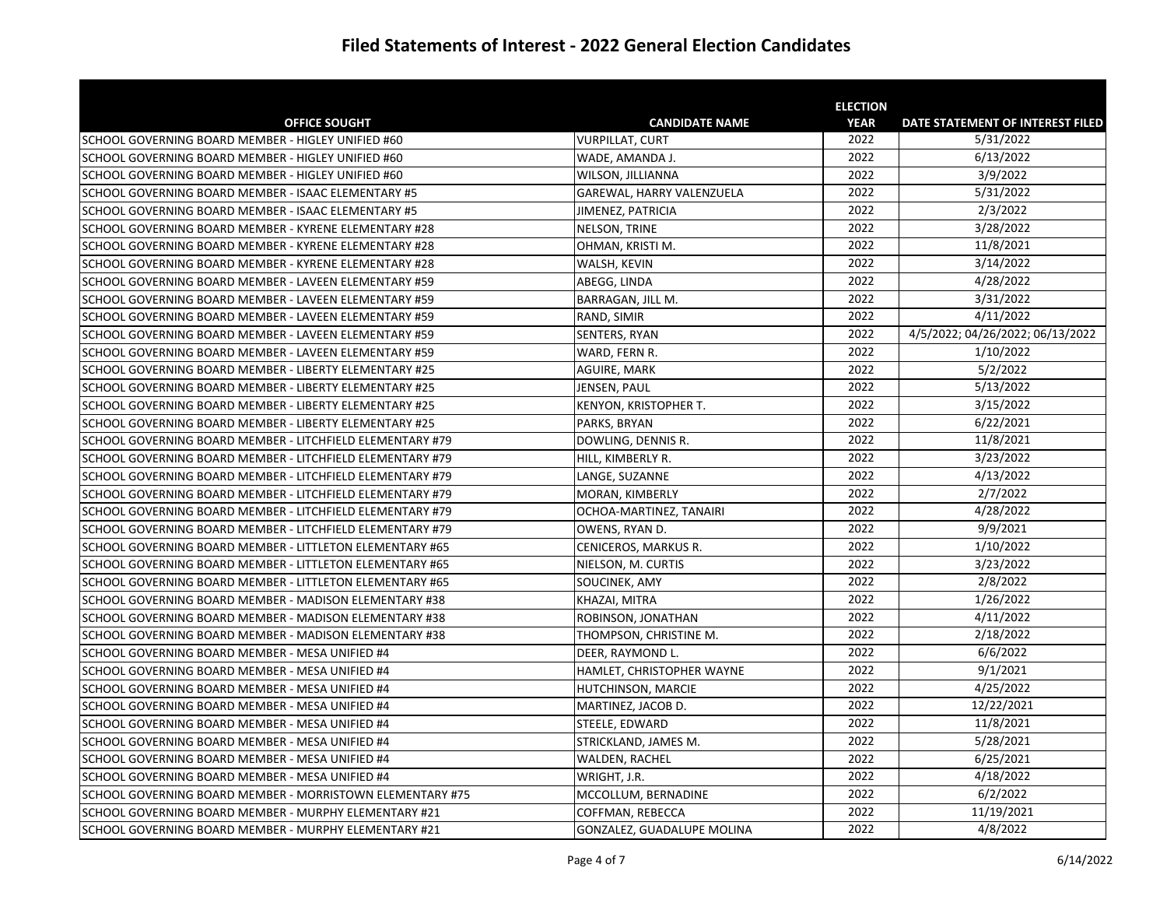|                                                           |                            | <b>ELECTION</b> |                                  |
|-----------------------------------------------------------|----------------------------|-----------------|----------------------------------|
| <b>OFFICE SOUGHT</b>                                      | <b>CANDIDATE NAME</b>      | <b>YEAR</b>     | DATE STATEMENT OF INTEREST FILED |
| SCHOOL GOVERNING BOARD MEMBER - HIGLEY UNIFIED #60        | <b>VURPILLAT, CURT</b>     | 2022            | 5/31/2022                        |
| SCHOOL GOVERNING BOARD MEMBER - HIGLEY UNIFIED #60        | WADE, AMANDA J.            | 2022            | 6/13/2022                        |
| SCHOOL GOVERNING BOARD MEMBER - HIGLEY UNIFIED #60        | WILSON, JILLIANNA          | 2022            | 3/9/2022                         |
| SCHOOL GOVERNING BOARD MEMBER - ISAAC ELEMENTARY #5       | GAREWAL, HARRY VALENZUELA  | 2022            | 5/31/2022                        |
| SCHOOL GOVERNING BOARD MEMBER - ISAAC ELEMENTARY #5       | JIMENEZ, PATRICIA          | 2022            | 2/3/2022                         |
| SCHOOL GOVERNING BOARD MEMBER - KYRENE ELEMENTARY #28     | NELSON, TRINE              | 2022            | 3/28/2022                        |
| SCHOOL GOVERNING BOARD MEMBER - KYRENE ELEMENTARY #28     | OHMAN, KRISTI M.           | 2022            | 11/8/2021                        |
| SCHOOL GOVERNING BOARD MEMBER - KYRENE ELEMENTARY #28     | WALSH, KEVIN               | 2022            | 3/14/2022                        |
| SCHOOL GOVERNING BOARD MEMBER - LAVEEN ELEMENTARY #59     | ABEGG, LINDA               | 2022            | 4/28/2022                        |
| SCHOOL GOVERNING BOARD MEMBER - LAVEEN ELEMENTARY #59     | BARRAGAN, JILL M.          | 2022            | 3/31/2022                        |
| SCHOOL GOVERNING BOARD MEMBER - LAVEEN ELEMENTARY #59     | RAND, SIMIR                | 2022            | 4/11/2022                        |
| SCHOOL GOVERNING BOARD MEMBER - LAVEEN ELEMENTARY #59     | SENTERS, RYAN              | 2022            | 4/5/2022; 04/26/2022; 06/13/2022 |
| SCHOOL GOVERNING BOARD MEMBER - LAVEEN ELEMENTARY #59     | WARD, FERN R.              | 2022            | 1/10/2022                        |
| SCHOOL GOVERNING BOARD MEMBER - LIBERTY ELEMENTARY #25    | AGUIRE, MARK               | 2022            | 5/2/2022                         |
| SCHOOL GOVERNING BOARD MEMBER - LIBERTY ELEMENTARY #25    | JENSEN, PAUL               | 2022            | 5/13/2022                        |
| SCHOOL GOVERNING BOARD MEMBER - LIBERTY ELEMENTARY #25    | KENYON, KRISTOPHER T.      | 2022            | 3/15/2022                        |
| SCHOOL GOVERNING BOARD MEMBER - LIBERTY ELEMENTARY #25    | PARKS, BRYAN               | 2022            | 6/22/2021                        |
| SCHOOL GOVERNING BOARD MEMBER - LITCHFIELD ELEMENTARY #79 | DOWLING, DENNIS R.         | 2022            | 11/8/2021                        |
| SCHOOL GOVERNING BOARD MEMBER - LITCHFIELD ELEMENTARY #79 | HILL, KIMBERLY R.          | 2022            | 3/23/2022                        |
| SCHOOL GOVERNING BOARD MEMBER - LITCHFIELD ELEMENTARY #79 | LANGE, SUZANNE             | 2022            | 4/13/2022                        |
| SCHOOL GOVERNING BOARD MEMBER - LITCHFIELD ELEMENTARY #79 | <b>MORAN, KIMBERLY</b>     | 2022            | 2/7/2022                         |
| SCHOOL GOVERNING BOARD MEMBER - LITCHFIELD ELEMENTARY #79 | OCHOA-MARTINEZ, TANAIRI    | 2022            | 4/28/2022                        |
| SCHOOL GOVERNING BOARD MEMBER - LITCHFIELD ELEMENTARY #79 | OWENS, RYAN D.             | 2022            | 9/9/2021                         |
| SCHOOL GOVERNING BOARD MEMBER - LITTLETON ELEMENTARY #65  | CENICEROS, MARKUS R.       | 2022            | 1/10/2022                        |
| SCHOOL GOVERNING BOARD MEMBER - LITTLETON ELEMENTARY #65  | NIELSON, M. CURTIS         | 2022            | 3/23/2022                        |
| SCHOOL GOVERNING BOARD MEMBER - LITTLETON ELEMENTARY #65  | SOUCINEK, AMY              | 2022            | 2/8/2022                         |
| SCHOOL GOVERNING BOARD MEMBER - MADISON ELEMENTARY #38    | KHAZAI, MITRA              | 2022            | 1/26/2022                        |
| SCHOOL GOVERNING BOARD MEMBER - MADISON ELEMENTARY #38    | ROBINSON, JONATHAN         | 2022            | 4/11/2022                        |
| SCHOOL GOVERNING BOARD MEMBER - MADISON ELEMENTARY #38    | THOMPSON, CHRISTINE M.     | 2022            | 2/18/2022                        |
| SCHOOL GOVERNING BOARD MEMBER - MESA UNIFIED #4           | DEER, RAYMOND L.           | 2022            | 6/6/2022                         |
| SCHOOL GOVERNING BOARD MEMBER - MESA UNIFIED #4           | HAMLET, CHRISTOPHER WAYNE  | 2022            | 9/1/2021                         |
| SCHOOL GOVERNING BOARD MEMBER - MESA UNIFIED #4           | HUTCHINSON, MARCIE         | 2022            | 4/25/2022                        |
| SCHOOL GOVERNING BOARD MEMBER - MESA UNIFIED #4           | MARTINEZ, JACOB D.         | 2022            | 12/22/2021                       |
| SCHOOL GOVERNING BOARD MEMBER - MESA UNIFIED #4           | STEELE, EDWARD             | 2022            | 11/8/2021                        |
| SCHOOL GOVERNING BOARD MEMBER - MESA UNIFIED #4           | STRICKLAND, JAMES M.       | 2022            | 5/28/2021                        |
| SCHOOL GOVERNING BOARD MEMBER - MESA UNIFIED #4           | WALDEN, RACHEL             | 2022            | 6/25/2021                        |
| SCHOOL GOVERNING BOARD MEMBER - MESA UNIFIED #4           | WRIGHT, J.R.               | 2022            | 4/18/2022                        |
| SCHOOL GOVERNING BOARD MEMBER - MORRISTOWN ELEMENTARY #75 | MCCOLLUM, BERNADINE        | 2022            | 6/2/2022                         |
| SCHOOL GOVERNING BOARD MEMBER - MURPHY ELEMENTARY #21     | COFFMAN, REBECCA           | 2022            | 11/19/2021                       |
| SCHOOL GOVERNING BOARD MEMBER - MURPHY ELEMENTARY #21     | GONZALEZ, GUADALUPE MOLINA | 2022            | 4/8/2022                         |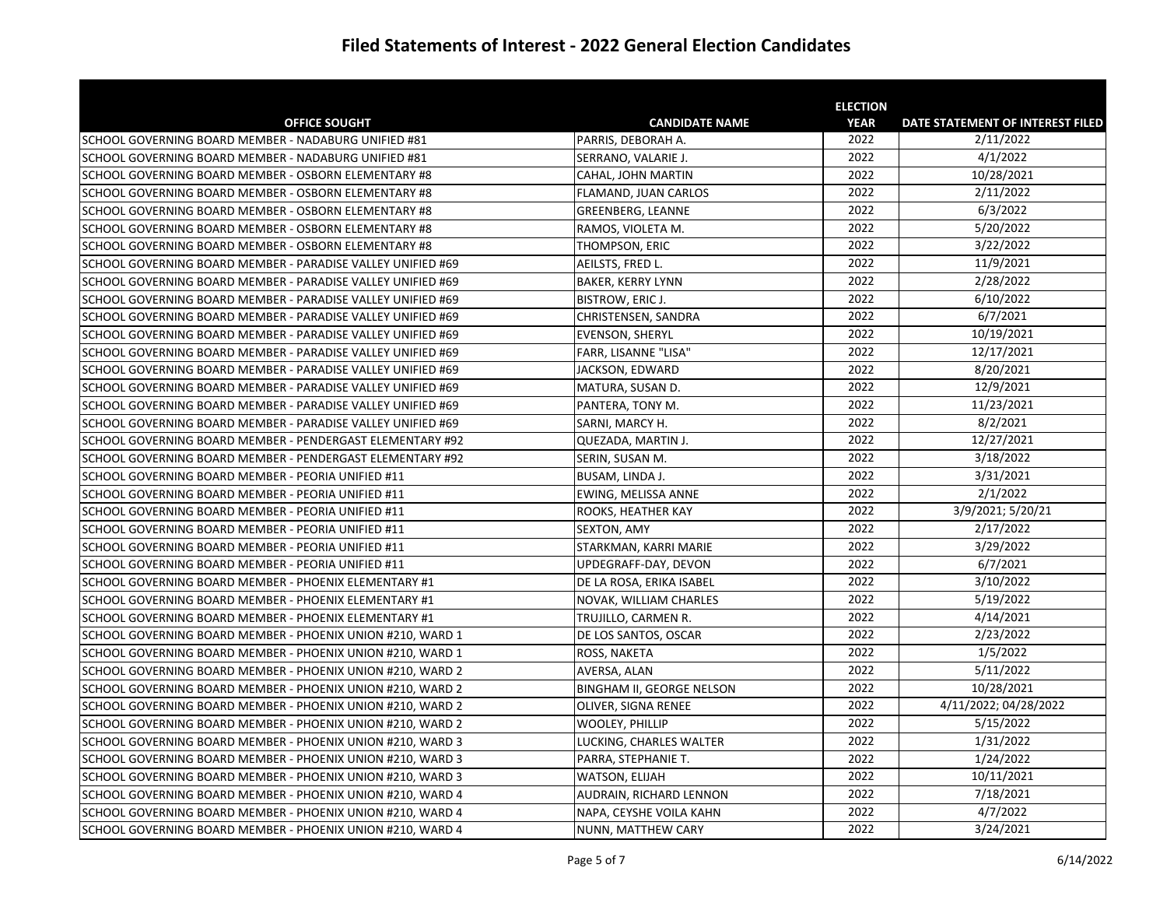|                                                             |                             | <b>ELECTION</b> |                                  |
|-------------------------------------------------------------|-----------------------------|-----------------|----------------------------------|
| <b>OFFICE SOUGHT</b>                                        | <b>CANDIDATE NAME</b>       | <b>YEAR</b>     | DATE STATEMENT OF INTEREST FILED |
| SCHOOL GOVERNING BOARD MEMBER - NADABURG UNIFIED #81        | PARRIS, DEBORAH A.          | 2022            | 2/11/2022                        |
| SCHOOL GOVERNING BOARD MEMBER - NADABURG UNIFIED #81        | SERRANO, VALARIE J.         | 2022            | 4/1/2022                         |
| SCHOOL GOVERNING BOARD MEMBER - OSBORN ELEMENTARY #8        | CAHAL, JOHN MARTIN          | 2022            | 10/28/2021                       |
| SCHOOL GOVERNING BOARD MEMBER - OSBORN ELEMENTARY #8        | <b>FLAMAND, JUAN CARLOS</b> | 2022            | 2/11/2022                        |
| SCHOOL GOVERNING BOARD MEMBER - OSBORN ELEMENTARY #8        | <b>GREENBERG, LEANNE</b>    | 2022            | 6/3/2022                         |
| SCHOOL GOVERNING BOARD MEMBER - OSBORN ELEMENTARY #8        | RAMOS, VIOLETA M.           | 2022            | 5/20/2022                        |
| SCHOOL GOVERNING BOARD MEMBER - OSBORN ELEMENTARY #8        | THOMPSON, ERIC              | 2022            | 3/22/2022                        |
| SCHOOL GOVERNING BOARD MEMBER - PARADISE VALLEY UNIFIED #69 | AEILSTS, FRED L.            | 2022            | 11/9/2021                        |
| SCHOOL GOVERNING BOARD MEMBER - PARADISE VALLEY UNIFIED #69 | <b>BAKER, KERRY LYNN</b>    | 2022            | 2/28/2022                        |
| SCHOOL GOVERNING BOARD MEMBER - PARADISE VALLEY UNIFIED #69 | <b>BISTROW, ERIC J.</b>     | 2022            | 6/10/2022                        |
| SCHOOL GOVERNING BOARD MEMBER - PARADISE VALLEY UNIFIED #69 | CHRISTENSEN, SANDRA         | 2022            | 6/7/2021                         |
| SCHOOL GOVERNING BOARD MEMBER - PARADISE VALLEY UNIFIED #69 | <b>EVENSON, SHERYL</b>      | 2022            | 10/19/2021                       |
| SCHOOL GOVERNING BOARD MEMBER - PARADISE VALLEY UNIFIED #69 | FARR, LISANNE "LISA"        | 2022            | 12/17/2021                       |
| SCHOOL GOVERNING BOARD MEMBER - PARADISE VALLEY UNIFIED #69 | JACKSON, EDWARD             | 2022            | 8/20/2021                        |
| SCHOOL GOVERNING BOARD MEMBER - PARADISE VALLEY UNIFIED #69 | MATURA, SUSAN D.            | 2022            | 12/9/2021                        |
| SCHOOL GOVERNING BOARD MEMBER - PARADISE VALLEY UNIFIED #69 | PANTERA, TONY M.            | 2022            | 11/23/2021                       |
| SCHOOL GOVERNING BOARD MEMBER - PARADISE VALLEY UNIFIED #69 | SARNI, MARCY H.             | 2022            | 8/2/2021                         |
| SCHOOL GOVERNING BOARD MEMBER - PENDERGAST ELEMENTARY #92   | QUEZADA, MARTIN J.          | 2022            | 12/27/2021                       |
| SCHOOL GOVERNING BOARD MEMBER - PENDERGAST ELEMENTARY #92   | SERIN, SUSAN M.             | 2022            | 3/18/2022                        |
| SCHOOL GOVERNING BOARD MEMBER - PEORIA UNIFIED #11          | BUSAM, LINDA J.             | 2022            | 3/31/2021                        |
| SCHOOL GOVERNING BOARD MEMBER - PEORIA UNIFIED #11          | EWING, MELISSA ANNE         | 2022            | 2/1/2022                         |
| SCHOOL GOVERNING BOARD MEMBER - PEORIA UNIFIED #11          | ROOKS, HEATHER KAY          | 2022            | 3/9/2021; 5/20/21                |
| SCHOOL GOVERNING BOARD MEMBER - PEORIA UNIFIED #11          | <b>SEXTON, AMY</b>          | 2022            | 2/17/2022                        |
| SCHOOL GOVERNING BOARD MEMBER - PEORIA UNIFIED #11          | STARKMAN, KARRI MARIE       | 2022            | 3/29/2022                        |
| SCHOOL GOVERNING BOARD MEMBER - PEORIA UNIFIED #11          | UPDEGRAFF-DAY, DEVON        | 2022            | 6/7/2021                         |
| SCHOOL GOVERNING BOARD MEMBER - PHOENIX ELEMENTARY #1       | DE LA ROSA, ERIKA ISABEL    | 2022            | 3/10/2022                        |
| SCHOOL GOVERNING BOARD MEMBER - PHOENIX ELEMENTARY #1       | NOVAK, WILLIAM CHARLES      | 2022            | 5/19/2022                        |
| SCHOOL GOVERNING BOARD MEMBER - PHOENIX ELEMENTARY #1       | TRUJILLO, CARMEN R.         | 2022            | 4/14/2021                        |
| SCHOOL GOVERNING BOARD MEMBER - PHOENIX UNION #210, WARD 1  | DE LOS SANTOS, OSCAR        | 2022            | 2/23/2022                        |
| SCHOOL GOVERNING BOARD MEMBER - PHOENIX UNION #210, WARD 1  | ROSS, NAKETA                | 2022            | 1/5/2022                         |
| SCHOOL GOVERNING BOARD MEMBER - PHOENIX UNION #210, WARD 2  | AVERSA, ALAN                | 2022            | 5/11/2022                        |
| SCHOOL GOVERNING BOARD MEMBER - PHOENIX UNION #210, WARD 2  | BINGHAM II, GEORGE NELSON   | 2022            | 10/28/2021                       |
| SCHOOL GOVERNING BOARD MEMBER - PHOENIX UNION #210, WARD 2  | OLIVER, SIGNA RENEE         | 2022            | 4/11/2022; 04/28/2022            |
| SCHOOL GOVERNING BOARD MEMBER - PHOENIX UNION #210, WARD 2  | <b>WOOLEY, PHILLIP</b>      | 2022            | 5/15/2022                        |
| SCHOOL GOVERNING BOARD MEMBER - PHOENIX UNION #210, WARD 3  | LUCKING, CHARLES WALTER     | 2022            | 1/31/2022                        |
| SCHOOL GOVERNING BOARD MEMBER - PHOENIX UNION #210, WARD 3  | PARRA, STEPHANIE T.         | 2022            | 1/24/2022                        |
| SCHOOL GOVERNING BOARD MEMBER - PHOENIX UNION #210, WARD 3  | WATSON, ELIJAH              | 2022            | 10/11/2021                       |
| SCHOOL GOVERNING BOARD MEMBER - PHOENIX UNION #210, WARD 4  | AUDRAIN, RICHARD LENNON     | 2022            | 7/18/2021                        |
| SCHOOL GOVERNING BOARD MEMBER - PHOENIX UNION #210, WARD 4  | NAPA, CEYSHE VOILA KAHN     | 2022            | 4/7/2022                         |
| SCHOOL GOVERNING BOARD MEMBER - PHOENIX UNION #210, WARD 4  | NUNN, MATTHEW CARY          | 2022            | 3/24/2021                        |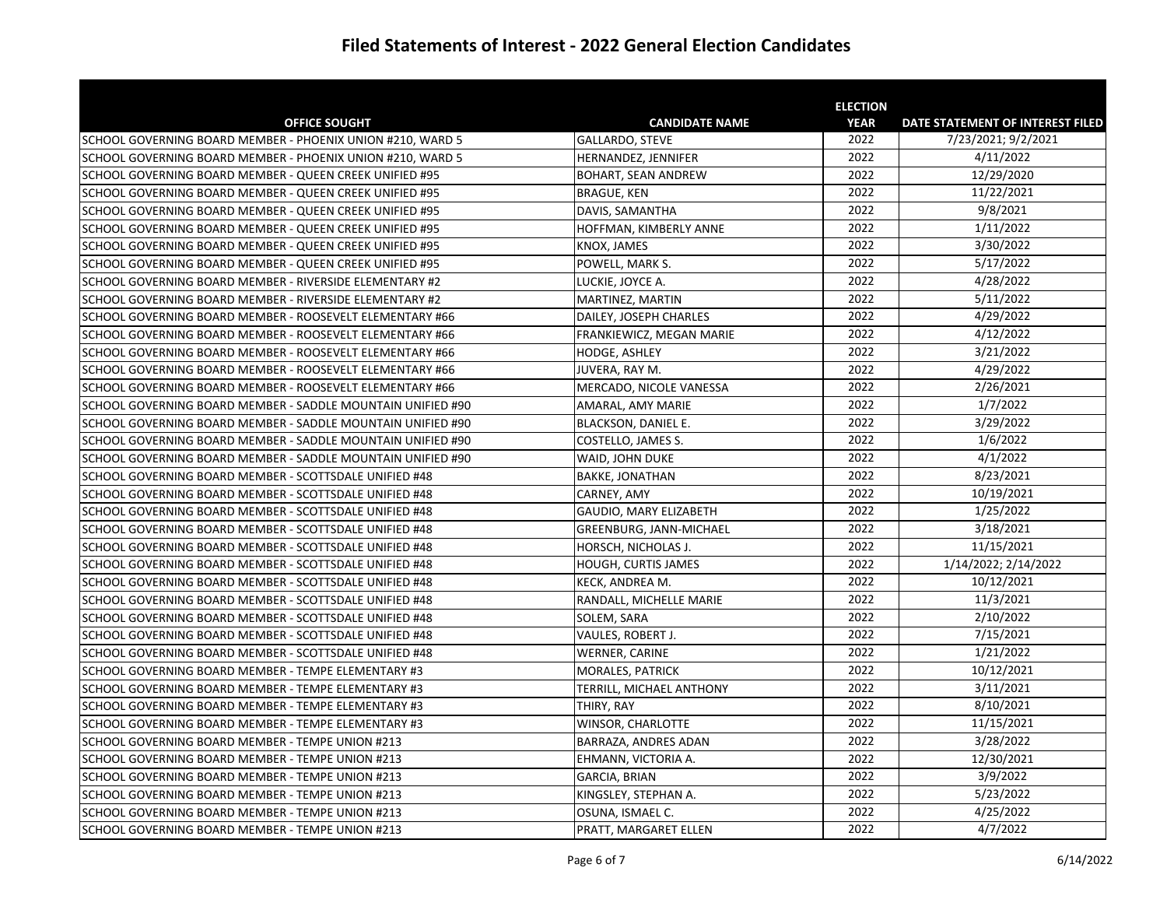|                                                             |                          | <b>ELECTION</b> |                                  |
|-------------------------------------------------------------|--------------------------|-----------------|----------------------------------|
| <b>OFFICE SOUGHT</b>                                        | <b>CANDIDATE NAME</b>    | <b>YEAR</b>     | DATE STATEMENT OF INTEREST FILED |
| SCHOOL GOVERNING BOARD MEMBER - PHOENIX UNION #210, WARD 5  | GALLARDO, STEVE          | 2022            | 7/23/2021; 9/2/2021              |
| SCHOOL GOVERNING BOARD MEMBER - PHOENIX UNION #210, WARD 5  | HERNANDEZ, JENNIFER      | 2022            | 4/11/2022                        |
| SCHOOL GOVERNING BOARD MEMBER - QUEEN CREEK UNIFIED #95     | BOHART, SEAN ANDREW      | 2022            | 12/29/2020                       |
| SCHOOL GOVERNING BOARD MEMBER - QUEEN CREEK UNIFIED #95     | <b>BRAGUE, KEN</b>       | 2022            | 11/22/2021                       |
| SCHOOL GOVERNING BOARD MEMBER - QUEEN CREEK UNIFIED #95     | DAVIS, SAMANTHA          | 2022            | 9/8/2021                         |
| SCHOOL GOVERNING BOARD MEMBER - QUEEN CREEK UNIFIED #95     | HOFFMAN, KIMBERLY ANNE   | 2022            | 1/11/2022                        |
| SCHOOL GOVERNING BOARD MEMBER - QUEEN CREEK UNIFIED #95     | KNOX, JAMES              | 2022            | 3/30/2022                        |
| SCHOOL GOVERNING BOARD MEMBER - QUEEN CREEK UNIFIED #95     | POWELL, MARK S.          | 2022            | 5/17/2022                        |
| SCHOOL GOVERNING BOARD MEMBER - RIVERSIDE ELEMENTARY #2     | LUCKIE, JOYCE A.         | 2022            | 4/28/2022                        |
| SCHOOL GOVERNING BOARD MEMBER - RIVERSIDE ELEMENTARY #2     | MARTINEZ, MARTIN         | 2022            | 5/11/2022                        |
| SCHOOL GOVERNING BOARD MEMBER - ROOSEVELT ELEMENTARY #66    | DAILEY, JOSEPH CHARLES   | 2022            | 4/29/2022                        |
| SCHOOL GOVERNING BOARD MEMBER - ROOSEVELT ELEMENTARY #66    | FRANKIEWICZ, MEGAN MARIE | 2022            | 4/12/2022                        |
| SCHOOL GOVERNING BOARD MEMBER - ROOSEVELT ELEMENTARY #66    | HODGE, ASHLEY            | 2022            | 3/21/2022                        |
| SCHOOL GOVERNING BOARD MEMBER - ROOSEVELT ELEMENTARY #66    | JUVERA, RAY M.           | 2022            | 4/29/2022                        |
| SCHOOL GOVERNING BOARD MEMBER - ROOSEVELT ELEMENTARY #66    | MERCADO, NICOLE VANESSA  | 2022            | 2/26/2021                        |
| SCHOOL GOVERNING BOARD MEMBER - SADDLE MOUNTAIN UNIFIED #90 | AMARAL, AMY MARIE        | 2022            | 1/7/2022                         |
| SCHOOL GOVERNING BOARD MEMBER - SADDLE MOUNTAIN UNIFIED #90 | BLACKSON, DANIEL E.      | 2022            | 3/29/2022                        |
| SCHOOL GOVERNING BOARD MEMBER - SADDLE MOUNTAIN UNIFIED #90 | COSTELLO, JAMES S.       | 2022            | 1/6/2022                         |
| SCHOOL GOVERNING BOARD MEMBER - SADDLE MOUNTAIN UNIFIED #90 | WAID, JOHN DUKE          | 2022            | 4/1/2022                         |
| SCHOOL GOVERNING BOARD MEMBER - SCOTTSDALE UNIFIED #48      | BAKKE, JONATHAN          | 2022            | 8/23/2021                        |
| SCHOOL GOVERNING BOARD MEMBER - SCOTTSDALE UNIFIED #48      | CARNEY, AMY              | 2022            | 10/19/2021                       |
| SCHOOL GOVERNING BOARD MEMBER - SCOTTSDALE UNIFIED #48      | GAUDIO, MARY ELIZABETH   | 2022            | 1/25/2022                        |
| SCHOOL GOVERNING BOARD MEMBER - SCOTTSDALE UNIFIED #48      | GREENBURG, JANN-MICHAEL  | 2022            | 3/18/2021                        |
| SCHOOL GOVERNING BOARD MEMBER - SCOTTSDALE UNIFIED #48      | HORSCH, NICHOLAS J.      | 2022            | 11/15/2021                       |
| SCHOOL GOVERNING BOARD MEMBER - SCOTTSDALE UNIFIED #48      | HOUGH, CURTIS JAMES      | 2022            | 1/14/2022; 2/14/2022             |
| SCHOOL GOVERNING BOARD MEMBER - SCOTTSDALE UNIFIED #48      | KECK, ANDREA M.          | 2022            | 10/12/2021                       |
| SCHOOL GOVERNING BOARD MEMBER - SCOTTSDALE UNIFIED #48      | RANDALL, MICHELLE MARIE  | 2022            | 11/3/2021                        |
| SCHOOL GOVERNING BOARD MEMBER - SCOTTSDALE UNIFIED #48      | SOLEM, SARA              | 2022            | 2/10/2022                        |
| SCHOOL GOVERNING BOARD MEMBER - SCOTTSDALE UNIFIED #48      | VAULES, ROBERT J.        | 2022            | 7/15/2021                        |
| SCHOOL GOVERNING BOARD MEMBER - SCOTTSDALE UNIFIED #48      | WERNER, CARINE           | 2022            | 1/21/2022                        |
| SCHOOL GOVERNING BOARD MEMBER - TEMPE ELEMENTARY #3         | MORALES, PATRICK         | 2022            | 10/12/2021                       |
| SCHOOL GOVERNING BOARD MEMBER - TEMPE ELEMENTARY #3         | TERRILL, MICHAEL ANTHONY | 2022            | 3/11/2021                        |
| SCHOOL GOVERNING BOARD MEMBER - TEMPE ELEMENTARY #3         | THIRY, RAY               | 2022            | 8/10/2021                        |
| SCHOOL GOVERNING BOARD MEMBER - TEMPE ELEMENTARY #3         | WINSOR, CHARLOTTE        | 2022            | 11/15/2021                       |
| SCHOOL GOVERNING BOARD MEMBER - TEMPE UNION #213            | BARRAZA, ANDRES ADAN     | 2022            | 3/28/2022                        |
| SCHOOL GOVERNING BOARD MEMBER - TEMPE UNION #213            | EHMANN, VICTORIA A.      | 2022            | 12/30/2021                       |
| SCHOOL GOVERNING BOARD MEMBER - TEMPE UNION #213            | GARCIA, BRIAN            | 2022            | 3/9/2022                         |
| SCHOOL GOVERNING BOARD MEMBER - TEMPE UNION #213            | KINGSLEY, STEPHAN A.     | 2022            | 5/23/2022                        |
| SCHOOL GOVERNING BOARD MEMBER - TEMPE UNION #213            | OSUNA, ISMAEL C.         | 2022            | 4/25/2022                        |
| SCHOOL GOVERNING BOARD MEMBER - TEMPE UNION #213            | PRATT, MARGARET ELLEN    | 2022            | 4/7/2022                         |